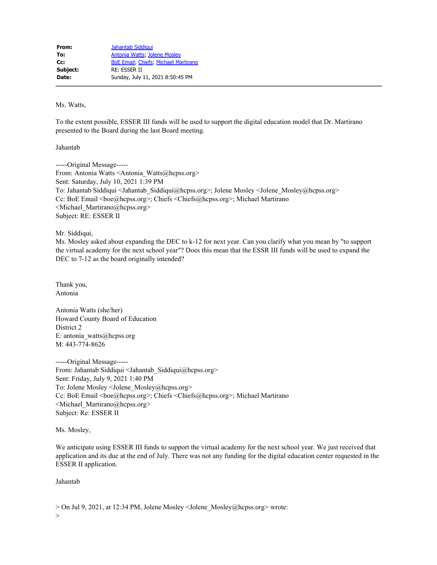Ms. Watts,

To the extent possible, ESSER III funds will be used to support the digital education model that Dr. Martirano presented to the Board during the last Board meeting.

Jahantab

-----Original Message----- From: Antonia Watts <Antonia\_Watts@hcpss.org> Sent: Saturday, July 10, 2021 1:39 PM To: Jahantab Siddiqui <Jahantab\_Siddiqui@hcpss.org>; Jolene Mosley <Jolene\_Mosley@hcpss.org> Cc: BoE Email <br/>boe@hcpss.org>; Chiefs <<br/>Chiefs@hcpss.org>; Michael Martirano <Michael\_Martirano@hcpss.org> Subject: RE: ESSER II

Mr. Siddiqui,

Ms. Mosley asked about expanding the DEC to k-12 for next year. Can you clarify what you mean by "to support the virtual academy for the next school year"? Does this mean that the ESSR III funds will be used to expand the DEC to 7-12 as the board originally intended?

Thank you, Antonia

Antonia Watts (she/her) Howard County Board of Education District 2 E: antonia\_watts@hcpss.org M: 443-774-8626

-----Original Message----- From: Jahantab Siddiqui <Jahantab\_Siddiqui@hcpss.org> Sent: Friday, July 9, 2021 1:40 PM To: Jolene Mosley <Jolene\_Mosley@hcpss.org> Cc: BoE Email <br/>boe@hcpss.org>; Chiefs <<br/>Chiefs@hcpss.org>; Michael Martirano <Michael\_Martirano@hcpss.org> Subject: Re: ESSER II

Ms. Mosley,

We anticipate using ESSER III funds to support the virtual academy for the next school year. We just received that application and its due at the end of July. There was not any funding for the digital education center requested in the ESSER II application.

Jahantab

> On Jul 9, 2021, at 12:34 PM, Jolene Mosley <Jolene\_Mosley@hcpss.org> wrote: >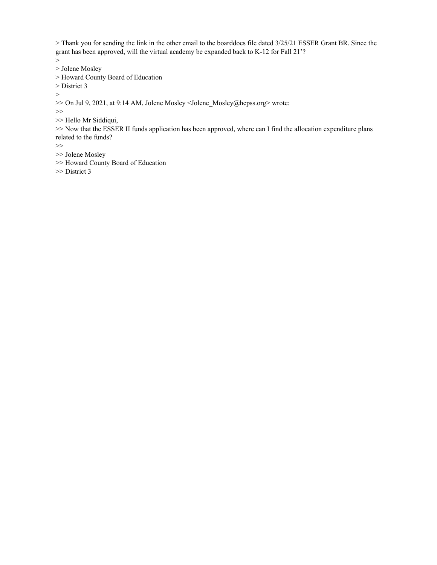> Thank you for sending the link in the other email to the boarddocs file dated 3/25/21 ESSER Grant BR. Since the grant has been approved, will the virtual academy be expanded back to K-12 for Fall 21'?

>

> Jolene Mosley

> Howard County Board of Education

> District 3

>

>> On Jul 9, 2021, at 9:14 AM, Jolene Mosley <Jolene\_Mosley@hcpss.org> wrote:

>>

>> Hello Mr Siddiqui,

>> Now that the ESSER II funds application has been approved, where can I find the allocation expenditure plans related to the funds?

 $>\gt$ 

- >> Jolene Mosley
- >> Howard County Board of Education

>> District 3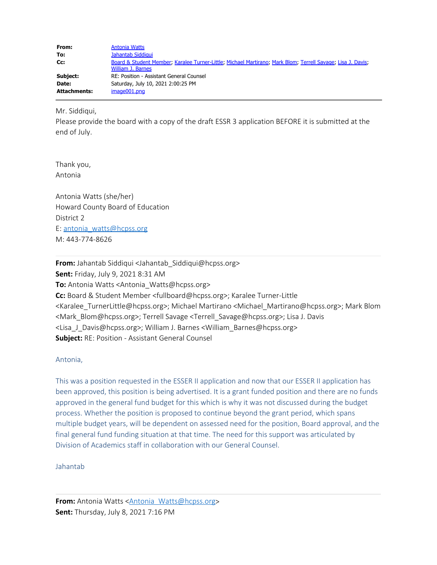| From:               | <b>Antonia Watts</b>                                                                                                             |  |
|---------------------|----------------------------------------------------------------------------------------------------------------------------------|--|
| To:                 | Jahantab Siddigui                                                                                                                |  |
| Cc:                 | Board & Student Member, Karalee Turner-Little, Michael Martirano, Mark Blom, Terrell Savage, Lisa J. Davis,<br>William J. Barnes |  |
| Subject:            | RE: Position - Assistant General Counsel                                                                                         |  |
| Date:               | Saturday, July 10, 2021 2:00:25 PM                                                                                               |  |
| <b>Attachments:</b> | image001.png                                                                                                                     |  |

Mr. Siddiqui,

Please provide the board with a copy of the draft ESSR 3 application BEFORE it is submitted at the end of July.

Thank you, Antonia

Antonia Watts (she/her) Howard County Board of Education District 2 E: antonia\_watts@hcpss.org M: 443-774-8626

**From:** Jahantab Siddiqui <Jahantab Siddiqui@hcpss.org> **Sent:** Friday, July 9, 2021 8:31 AM **To:** Antonia Watts <Antonia\_Watts@hcpss.org> **Cc:** Board & Student Member <fullboard@hcpss.org>; Karalee Turner-Little <Karalee\_TurnerLittle@hcpss.org>; Michael Martirano <Michael\_Martirano@hcpss.org>; Mark Blom <Mark\_Blom@hcpss.org>; Terrell Savage <Terrell\_Savage@hcpss.org>; Lisa J. Davis <Lisa\_J\_Davis@hcpss.org>; William J. Barnes <William\_Barnes@hcpss.org> **Subject:** RE: Position - Assistant General Counsel

## Antonia,

This was a position requested in the ESSER II application and now that our ESSER II application has been approved, this position is being advertised. It is a grant funded position and there are no funds approved in the general fund budget for this which is why it was not discussed during the budget process. Whether the position is proposed to continue beyond the grant period, which spans multiple budget years, will be dependent on assessed need for the position, Board approval, and the final general fund funding situation at that time. The need for this support was articulated by Division of Academics staff in collaboration with our General Counsel.

Jahantab

**From:** Antonia Watts <**Antonia** Watts@hcpss.org> **Sent:** Thursday, July 8, 2021 7:16 PM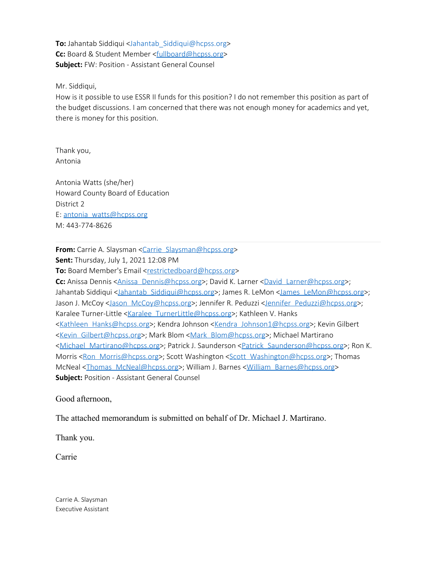**To:** Jahantab Siddiqui <Jahantab\_Siddiqui@hcpss.org> **Cc:** Board & Student Member <fullboard@hcpss.org> **Subject:** FW: Position - Assistant General Counsel

Mr. Siddiqui,

How is it possible to use ESSR II funds for this position? I do not remember this position as part of the budget discussions. I am concerned that there was not enough money for academics and yet, there is money for this position.

Thank you, Antonia

Antonia Watts (she/her) Howard County Board of Education District 2 E: antonia watts@hcpss.org M: 443-774-8626

**From:** Carrie A. Slaysman <Carrie Slaysman@hcpss.org>

**Sent:** Thursday, July 1, 2021 12:08 PM

**To:** Board Member's Email <restrictedboard@hcpss.org>

**Cc:** Anissa Dennis <Anissa Dennis@hcpss.org>; David K. Larner <David Larner@hcpss.org>; Jahantab Siddiqui <Jahantab Siddiqui@hcpss.org>; James R. LeMon <James LeMon@hcpss.org>; Jason J. McCoy <Jason McCoy@hcpss.org>; Jennifer R. Peduzzi <Jennifer Peduzzi@hcpss.org>; Karalee Turner-Little <Karalee TurnerLittle@hcpss.org>; Kathleen V. Hanks <Kathleen Hanks@hcpss.org>; Kendra Johnson <Kendra Johnson1@hcpss.org>; Kevin Gilbert <Kevin Gilbert@hcpss.org>; Mark Blom <Mark Blom@hcpss.org>; Michael Martirano <Michael Martirano@hcpss.org>; Patrick J. Saunderson <Patrick Saunderson@hcpss.org>; Ron K. Morris <Ron Morris@hcpss.org>; Scott Washington <Scott Washington@hcpss.org>; Thomas McNeal <Thomas McNeal@hcpss.org>; William J. Barnes <William Barnes@hcpss.org> **Subject:** Position - Assistant General Counsel

Good afternoon,

The attached memorandum is submitted on behalf of Dr. Michael J. Martirano.

Thank you.

Carrie

Carrie A. Slaysman Executive Assistant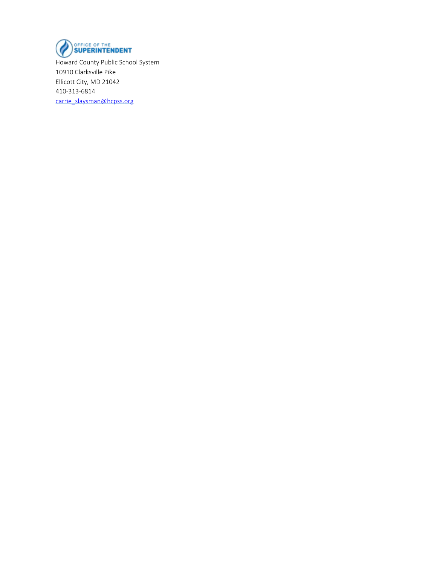

Howard County Public School System 10910 Clarksville Pike Ellicott City, MD 21042 410-313-6814 carrie\_slaysman@hcpss.org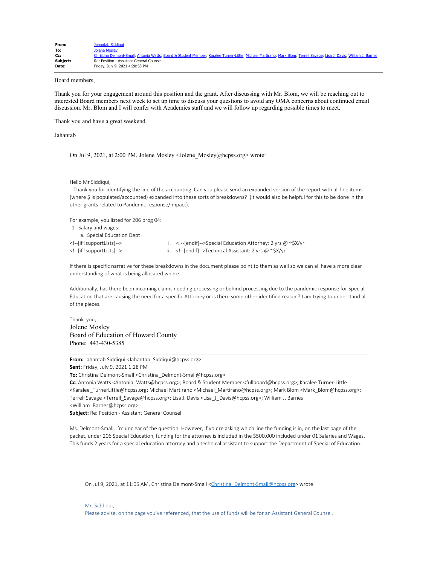| From:    | Jahantab Siddigui                                                                                                                                                     |
|----------|-----------------------------------------------------------------------------------------------------------------------------------------------------------------------|
| To:      | Jolene Mosley                                                                                                                                                         |
| Cc:      | Christina Delmont-Small, Antonia Watts; Board & Student Member; Karalee Turner-Little; Michael Martirano; Mark Blom; Terrell Savage; Lisa J. Davis; William J. Barnes |
| Subject: | Re: Position - Assistant General Counsel                                                                                                                              |
| Date:    | Friday, July 9, 2021 4:20:58 PM                                                                                                                                       |

## Board members,

Thank you for your engagement around this position and the grant. After discussing with Mr. Blom, we will be reaching out to interested Board members next week to set up time to discuss your questions to avoid any OMA concerns about continued email discussion. Mr. Blom and I will confer with Academics staff and we will follow up regarding possible times to meet.

Thank you and have a great weekend.

Jahantab

On Jul 9, 2021, at 2:00 PM, Jolene Mosley <Jolene\_Mosley@hcpss.org> wrote:

```
Hello Mr Siddiqui,
```
 Thank you for identifying the line of the accounting. Can you please send an expanded version of the report with all line items (where \$ is populated/accounted) expanded into these sorts of breakdowns? (It would also be helpful for this to be done in the other grants related to Pandemic response/impact).

For example, you listed for 206 prog 04:

- 1. Salary and wages:
- a. Special Education Dept
- 
- 

<!--[if !supportLists]--> i. <!--[endif]-->Special Education Attorney: 2 yrs @ ~\$X/yr <!--[if !supportLists]--> ii. <!--[endif]-->Technical Assistant: 2 yrs @ ~\$X/yr

If there is specific narrative for these breakdowns in the document please point to them as well so we can all have a more clear understanding of what is being allocated where.

Additionally, has there been incoming claims needing processing or behind processing due to the pandemic response for Special Education that are causing the need for a specific Attorney or is there some other identified reason? I am trying to understand all of the pieces.

Thank you, Jolene Mosley Board of Education of Howard County Phone: 443-430-5385

**From:** Jahantab Siddiqui <Jahantab\_Siddiqui@hcpss.org>

**Sent:** Friday, July 9, 2021 1:28 PM

**To:** Christina Delmont-Small <Christina\_Delmont-Small@hcpss.org>

**Cc:** Antonia Watts <Antonia\_Watts@hcpss.org>; Board & Student Member <fullboard@hcpss.org>; Karalee Turner-Little <Karalee\_TurnerLittle@hcpss.org; Michael Martirano <Michael\_Martirano@hcpss.org>; Mark Blom <Mark\_Blom@hcpss.org>; Terrell Savage <Terrell\_Savage@hcpss.org>; Lisa J. Davis <Lisa\_J\_Davis@hcpss.org>; William J. Barnes <William\_Barnes@hcpss.org>

**Subject:** Re: Position - Assistant General Counsel

Ms. Delmont-Small, I'm unclear of the question. However, if you're asking which line the funding is in, on the last page of the packet, under 206 Special Education, funding for the attorney is included in the \$500,000 included under 01 Salaries and Wages. This funds 2 years for a special education attorney and a technical assistant to support the Department of Special of Education.

On Jul 9, 2021, at 11:05 AM, Christina Delmont-Small <Christina\_Delmont-Small@hcpss.org> wrote:

Mr. Siddiqui, Please advise, on the page you've referenced, that the use of funds will be for an Assistant General Counsel.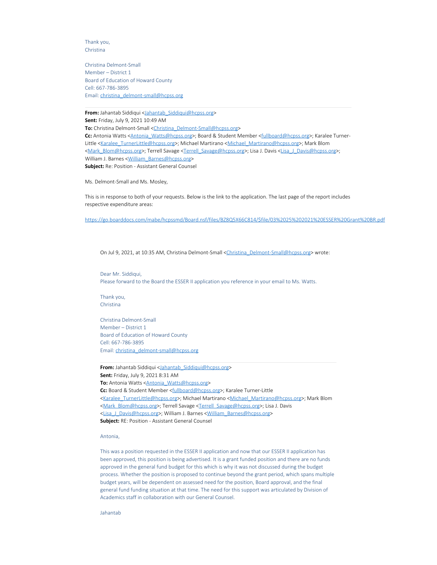Thank you, Christina

Christina Delmont-Small Member – District 1 Board of Education of Howard County Cell: 667-786-3895 Email: christina\_delmont-small@hcpss.org

**From:** Jahantab Siddiqui <Jahantab\_Siddiqui@hcpss.org> **Sent:** Friday, July 9, 2021 10:49 AM **To:** Christina Delmont-Small <Christina\_Delmont-Small@hcpss.org> Cc: Antonia Watts <Antonia\_Watts@hcpss.org>; Board & Student Member <fullboard@hcpss.org>; Karalee Turner-Little <Karalee\_TurnerLittle@hcpss.org>; Michael Martirano <Michael\_Martirano@hcpss.org>; Mark Blom <Mark\_Blom@hcpss.org>; Terrell Savage <Terrell\_Savage@hcpss.org>; Lisa J. Davis <Lisa\_J\_Davis@hcpss.org>; William J. Barnes < William\_Barnes@hcpss.org> **Subject:** Re: Position - Assistant General Counsel

Ms. Delmont-Small and Ms. Mosley,

This is in response to both of your requests. Below is the link to the application. The last page of the report includes respective expenditure areas:

https://go.boarddocs.com/mabe/hcpssmd/Board.nsf/files/BZ8Q5X66C814/\$file/03%2025%202021%20ESSER%20Grant%20BR.pdf

On Jul 9, 2021, at 10:35 AM, Christina Delmont-Small <Christina\_Delmont-Small@hcpss.org> wrote:

Dear Mr. Siddiqui, Please forward to the Board the ESSER II application you reference in your email to Ms. Watts.

Thank you, Christina

Christina Delmont-Small Member – District 1 Board of Education of Howard County Cell: 667-786-3895 Email: christina\_delmont-small@hcpss.org

From: Jahantab Siddiqui <Jahantab Siddiqui@hcpss.org> **Sent:** Friday, July 9, 2021 8:31 AM **To:** Antonia Watts <**Antonia\_Watts@hcpss.org> Cc:** Board & Student Member <fullboard@hcpss.org>; Karalee Turner-Little <Karalee\_TurnerLittle@hcpss.org>; Michael Martirano <Michael\_Martirano@hcpss.org>; Mark Blom <Mark Blom@hcpss.org>; Terrell Savage <Terrell Savage@hcpss.org>; Lisa J. Davis <Lisa\_J\_Davis@hcpss.org>; William J. Barnes <William\_Barnes@hcpss.org> **Subject:** RE: Position - Assistant General Counsel

Antonia,

This was a position requested in the ESSER II application and now that our ESSER II application has been approved, this position is being advertised. It is a grant funded position and there are no funds approved in the general fund budget for this which is why it was not discussed during the budget process. Whether the position is proposed to continue beyond the grant period, which spans multiple budget years, will be dependent on assessed need for the position, Board approval, and the final general fund funding situation at that time. The need for this support was articulated by Division of Academics staff in collaboration with our General Counsel.

Jahantab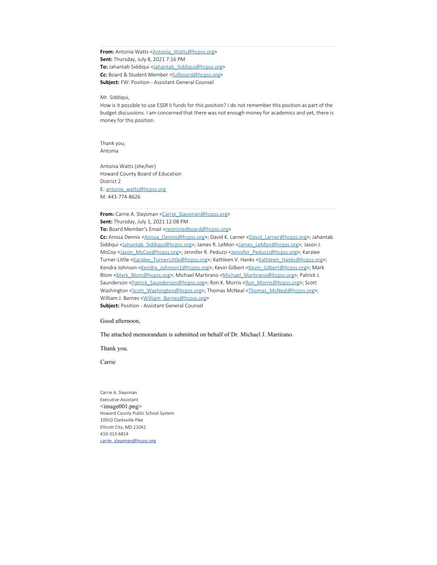From: Antonia Watts <**Antonia\_Watts@hcpss.org> Sent:** Thursday, July 8, 2021 7:16 PM **To:** Jahantab Siddiqui <Jahantab\_Siddiqui@hcpss.org> Cc: Board & Student Member <fullboard@hcpss.org> **Subject:** FW: Position - Assistant General Counsel

Mr. Siddiqui,

How is it possible to use ESSR II funds for this position? I do not remember this position as part of the budget discussions. I am concerned that there was not enough money for academics and yet, there is money for this position.

Thank you, Antonia

Antonia Watts (she/her) Howard County Board of Education District 2 E: antonia\_watts@hcpss.org M: 443-774-8626

From: Carrie A. Slaysman <Carrie\_Slaysman@hcpss.org> **Sent:** Thursday, July 1, 2021 12:08 PM To: Board Member's Email <restrictedboard@hcpss.org> Cc: Anissa Dennis <**Anissa\_Dennis@hcpss.org>**; David K. Larner <David\_Larner@hcpss.org>; Jahantab Siddiqui <Jahantab Siddiqui@hcpss.org>; James R. LeMon <James\_LeMon@hcpss.org>; Jason J.

McCoy <Jason\_McCoy@hcpss.org>; Jennifer R. Peduzzi <Jennifer\_Peduzzi@hcpss.org>; Karalee Turner-Little <Karalee\_TurnerLittle@hcpss.org>; Kathleen V. Hanks <Kathleen\_Hanks@hcpss.org>; Kendra Johnson <Kendra\_Johnson1@hcpss.org>; Kevin Gilbert <Kevin\_Gilbert@hcpss.org>; Mark Blom <Mark\_Blom@hcpss.org>; Michael Martirano <Michael\_Martirano@hcpss.org>; Patrick J. Saunderson <Patrick\_Saunderson@hcpss.org>; Ron K. Morris <Ron\_Morris@hcpss.org>; Scott Washington <Scott\_Washington@hcpss.org>; Thomas McNeal <Thomas\_McNeal@hcpss.org>; William J. Barnes < William Barnes@hcpss.org>

**Subject:** Position - Assistant General Counsel

Good afternoon,

The attached memorandum is submitted on behalf of Dr. Michael J. Martirano.

Thank you.

Carrie

Carrie A. Slaysman Executive Assistant  $\leq$ image $001$ .png $>$ Howard County Public School System 10910 Clarksville Pike Ellicott City, MD 21042 410-313-6814 carrie slaysman@hcpss.org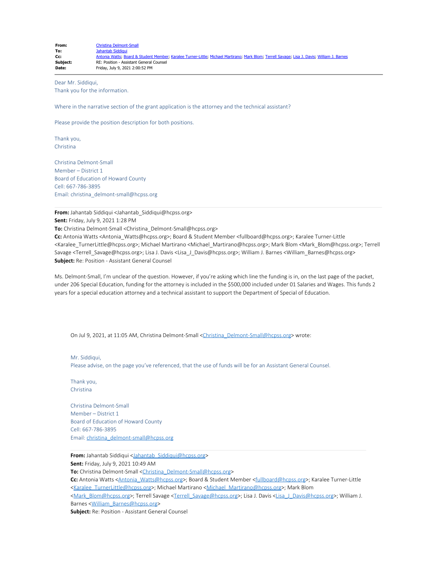| From:    | Christina Delmont-Small                                                                                                                      |
|----------|----------------------------------------------------------------------------------------------------------------------------------------------|
| To:      | Jahantab Siddigui                                                                                                                            |
| Cc:      | Antonia Watts; Board & Student Member; Karalee Turner-Little; Michael Martirano; Mark Blom; Terrell Savage; Lisa J. Davis; William J. Barnes |
| Subject: | RE: Position - Assistant General Counsel                                                                                                     |
| Date:    | Friday, July 9, 2021 2:00:52 PM                                                                                                              |

Dear Mr. Siddiqui, Thank you for the information.

Where in the narrative section of the grant application is the attorney and the technical assistant?

Please provide the position description for both positions.

Thank you, Christina

Christina Delmont-Small Member – District 1 Board of Education of Howard County Cell: 667-786-3895 Email: christina\_delmont-small@hcpss.org

**From:** Jahantab Siddiqui <Jahantab\_Siddiqui@hcpss.org> **Sent:** Friday, July 9, 2021 1:28 PM

**To:** Christina Delmont-Small <Christina\_Delmont-Small@hcpss.org>

**Cc:** Antonia Watts <Antonia\_Watts@hcpss.org>; Board & Student Member <fullboard@hcpss.org>; Karalee Turner-Little <Karalee\_TurnerLittle@hcpss.org>; Michael Martirano <Michael\_Martirano@hcpss.org>; Mark Blom <Mark\_Blom@hcpss.org>; Terrell Savage <Terrell\_Savage@hcpss.org>; Lisa J. Davis <Lisa J\_Davis@hcpss.org>; William J. Barnes <William\_Barnes@hcpss.org> **Subject:** Re: Position - Assistant General Counsel

Ms. Delmont-Small, I'm unclear of the question. However, if you're asking which line the funding is in, on the last page of the packet, under 206 Special Education, funding for the attorney is included in the \$500,000 included under 01 Salaries and Wages. This funds 2 years for a special education attorney and a technical assistant to support the Department of Special of Education.

On Jul 9, 2021, at 11:05 AM, Christina Delmont-Small <Christina\_Delmont-Small@hcpss.org> wrote:

Mr. Siddiqui, Please advise, on the page you've referenced, that the use of funds will be for an Assistant General Counsel.

Thank you, Christina

Christina Delmont-Small Member – District 1 Board of Education of Howard County Cell: 667-786-3895 Email: christina\_delmont-small@hcpss.org

**From:** Jahantab Siddiqui <Jahantab Siddiqui@hcpss.org> **Sent:** Friday, July 9, 2021 10:49 AM **To:** Christina Delmont-Small <Christina\_Delmont-Small@hcpss.org> Cc: Antonia Watts <Antonia\_Watts@hcpss.org>; Board & Student Member <fullboard@hcpss.org>; Karalee Turner-Little <Karalee\_TurnerLittle@hcpss.org>; Michael Martirano <Michael\_Martirano@hcpss.org>; Mark Blom <Mark\_Blom@hcpss.org>; Terrell Savage <Terrell\_Savage@hcpss.org>; Lisa J. Davis <Lisa\_J\_Davis@hcpss.org>; William J. Barnes <William\_Barnes@hcpss.org> **Subject:** Re: Position - Assistant General Counsel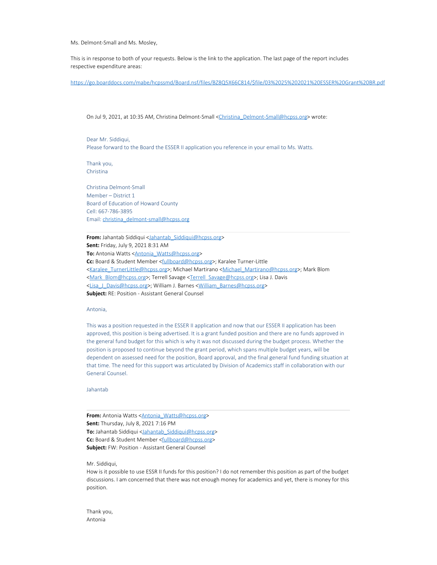Ms. Delmont-Small and Ms. Mosley,

This is in response to both of your requests. Below is the link to the application. The last page of the report includes respective expenditure areas:

https://go.boarddocs.com/mabe/hcpssmd/Board.nsf/files/BZ8Q5X66C814/\$file/03%2025%202021%20ESSER%20Grant%20BR.pdf

On Jul 9, 2021, at 10:35 AM, Christina Delmont-Small <Christina\_Delmont-Small@hcpss.org> wrote:

Dear Mr. Siddiqui, Please forward to the Board the ESSER II application you reference in your email to Ms. Watts.

Thank you, Christina

Christina Delmont-Small Member – District 1 Board of Education of Howard County Cell: 667-786-3895 Email: christina\_delmont-small@hcpss.org

**From:** Jahantab Siddiqui <Jahantab Siddiqui@hcpss.org> **Sent:** Friday, July 9, 2021 8:31 AM **To:** Antonia Watts <**Antonia\_Watts@hcpss.org> Cc:** Board & Student Member <fullboard@hcpss.org>; Karalee Turner-Little <Karalee\_TurnerLittle@hcpss.org>; Michael Martirano <Michael\_Martirano@hcpss.org>; Mark Blom <Mark\_Blom@hcpss.org>; Terrell Savage <Terrell\_Savage@hcpss.org>; Lisa J. Davis <Lisa\_J\_Davis@hcpss.org>; William J. Barnes <William\_Barnes@hcpss.org> **Subject:** RE: Position - Assistant General Counsel

## Antonia,

This was a position requested in the ESSER II application and now that our ESSER II application has been approved, this position is being advertised. It is a grant funded position and there are no funds approved in the general fund budget for this which is why it was not discussed during the budget process. Whether the position is proposed to continue beyond the grant period, which spans multiple budget years, will be dependent on assessed need for the position, Board approval, and the final general fund funding situation at that time. The need for this support was articulated by Division of Academics staff in collaboration with our General Counsel.

Jahantab

**From:** Antonia Watts <**Antonia\_Watts@hcpss.org> Sent:** Thursday, July 8, 2021 7:16 PM **To:** Jahantab Siddiqui <Jahantab\_Siddiqui@hcpss.org> Cc: Board & Student Member <fullboard@hcpss.org> **Subject:** FW: Position - Assistant General Counsel

Mr. Siddiqui,

How is it possible to use ESSR II funds for this position? I do not remember this position as part of the budget discussions. I am concerned that there was not enough money for academics and yet, there is money for this position.

Thank you, Antonia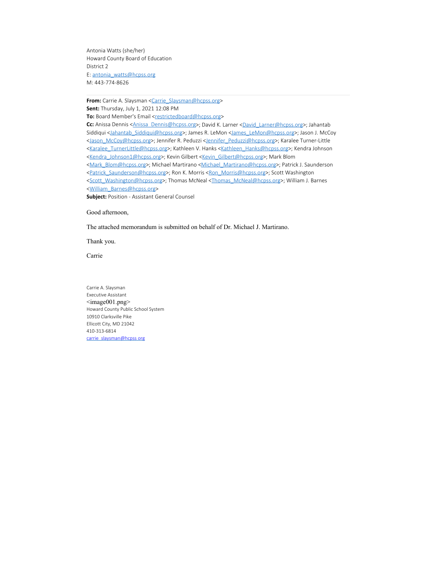Antonia Watts (she/her) Howard County Board of Education District 2 E: antonia\_watts@hcpss.org M: 443-774-8626

From: Carrie A. Slaysman <Carrie\_Slaysman@hcpss.org> **Sent:** Thursday, July 1, 2021 12:08 PM

To: Board Member's Email <restrictedboard@hcpss.org>

Cc: Anissa Dennis <Anissa\_Dennis@hcpss.org>; David K. Larner <David\_Larner@hcpss.org>; Jahantab Siddiqui <Jahantab\_Siddiqui@hcpss.org>; James R. LeMon <James\_LeMon@hcpss.org>; Jason J. McCoy <Jason\_McCoy@hcpss.org>; Jennifer R. Peduzzi <Jennifer\_Peduzzi@hcpss.org>; Karalee Turner-Little <Karalee\_TurnerLittle@hcpss.org>; Kathleen V. Hanks <Kathleen\_Hanks@hcpss.org>; Kendra Johnson <Kendra\_Johnson1@hcpss.org>; Kevin Gilbert <Kevin\_Gilbert@hcpss.org>; Mark Blom <Mark\_Blom@hcpss.org>; Michael Martirano <Michael\_Martirano@hcpss.org>; Patrick J. Saunderson <Patrick\_Saunderson@hcpss.org>; Ron K. Morris <Ron\_Morris@hcpss.org>; Scott Washington <Scott\_Washington@hcpss.org>; Thomas McNeal <Thomas\_McNeal@hcpss.org>; William J. Barnes <William\_Barnes@hcpss.org>

**Subject:** Position - Assistant General Counsel

Good afternoon,

The attached memorandum is submitted on behalf of Dr. Michael J. Martirano.

Thank you.

Carrie

Carrie A. Slaysman Executive Assistant <image001.png> Howard County Public School System 10910 Clarksville Pike Ellicott City, MD 21042 410-313-6814 carrie slaysman@hcpss org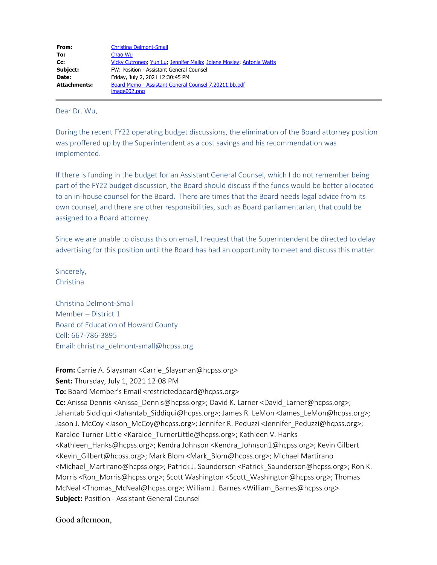| Christina Delmont-Small                                              |  |
|----------------------------------------------------------------------|--|
| Chao Wu                                                              |  |
| Vicky Cutroneo, Yun Lu, Jennifer Mallo, Jolene Mosley, Antonia Watts |  |
| FW: Position - Assistant General Counsel                             |  |
| Friday, July 2, 2021 12:30:45 PM                                     |  |
|                                                                      |  |
|                                                                      |  |

Dear Dr. Wu,

During the recent FY22 operating budget discussions, the elimination of the Board attorney position was proffered up by the Superintendent as a cost savings and his recommendation was implemented.

If there is funding in the budget for an Assistant General Counsel, which I do not remember being part of the FY22 budget discussion, the Board should discuss if the funds would be better allocated to an in-house counsel for the Board. There are times that the Board needs legal advice from its own counsel, and there are other responsibilities, such as Board parliamentarian, that could be assigned to a Board attorney.

Since we are unable to discuss this on email, I request that the Superintendent be directed to delay advertising for this position until the Board has had an opportunity to meet and discuss this matter.

Sincerely, Christina

Christina Delmont-Small Member – District 1 Board of Education of Howard County Cell: 667-786-3895 Email: christina\_delmont-small@hcpss.org

**From:** Carrie A. Slaysman <Carrie\_Slaysman@hcpss.org>

**Sent:** Thursday, July 1, 2021 12:08 PM

**To:** Board Member's Email <restrictedboard@hcpss.org>

**Cc:** Anissa Dennis <Anissa\_Dennis@hcpss.org>; David K. Larner <David\_Larner@hcpss.org>; Jahantab Siddiqui <Jahantab\_Siddiqui@hcpss.org>; James R. LeMon <James\_LeMon@hcpss.org>; Jason J. McCoy <Jason\_McCoy@hcpss.org>; Jennifer R. Peduzzi <Jennifer\_Peduzzi@hcpss.org>; Karalee Turner-Little <Karalee TurnerLittle@hcpss.org>; Kathleen V. Hanks <Kathleen\_Hanks@hcpss.org>; Kendra Johnson <Kendra\_Johnson1@hcpss.org>; Kevin Gilbert <Kevin\_Gilbert@hcpss.org>; Mark Blom <Mark\_Blom@hcpss.org>; Michael Martirano <Michael\_Martirano@hcpss.org>; Patrick J. Saunderson <Patrick\_Saunderson@hcpss.org>; Ron K. Morris <Ron\_Morris@hcpss.org>; Scott Washington <Scott\_Washington@hcpss.org>; Thomas McNeal <Thomas\_McNeal@hcpss.org>; William J. Barnes <William\_Barnes@hcpss.org> **Subject:** Position - Assistant General Counsel

Good afternoon,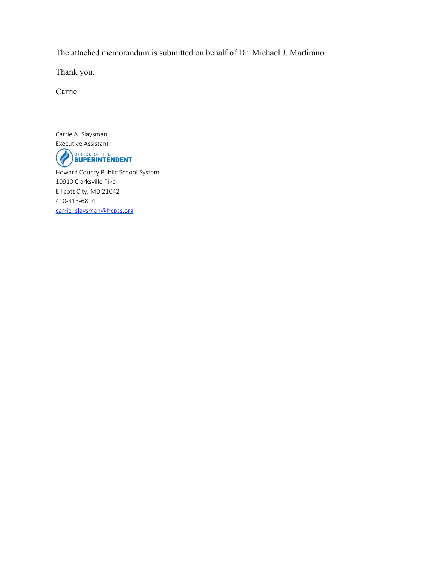The attached memorandum is submitted on behalf of Dr. Michael J. Martirano.

Thank you.

Carrie

Carrie A. Slaysman Executive Assistant OFFICE OF THE<br>SUPERINTENDENT  $Q$ Howard County Public School System 10910 Clarksville Pike Ellicott City, MD 21042 410-313-6814 carrie\_slaysman@hcpss.org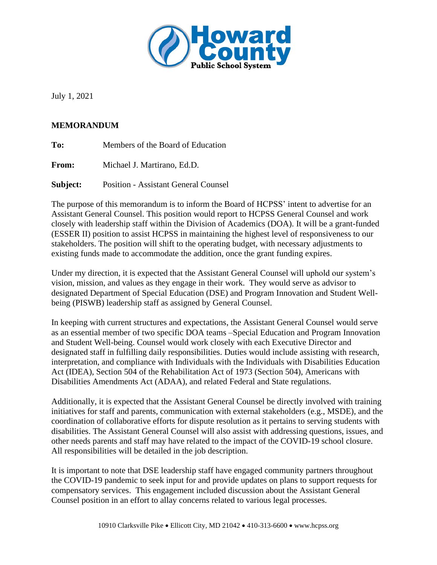

July 1, 2021

## **MEMORANDUM**

| To: | Members of the Board of Education |
|-----|-----------------------------------|
|-----|-----------------------------------|

**From:** Michael J. Martirano, Ed.D.

**Subject:** Position - Assistant General Counsel

The purpose of this memorandum is to inform the Board of HCPSS' intent to advertise for an Assistant General Counsel. This position would report to HCPSS General Counsel and work closely with leadership staff within the Division of Academics (DOA). It will be a grant-funded (ESSER II) position to assist HCPSS in maintaining the highest level of responsiveness to our stakeholders. The position will shift to the operating budget, with necessary adjustments to existing funds made to accommodate the addition, once the grant funding expires.

Under my direction, it is expected that the Assistant General Counsel will uphold our system's vision, mission, and values as they engage in their work. They would serve as advisor to designated Department of Special Education (DSE) and Program Innovation and Student Wellbeing (PISWB) leadership staff as assigned by General Counsel.

In keeping with current structures and expectations, the Assistant General Counsel would serve as an essential member of two specific DOA teams –Special Education and Program Innovation and Student Well-being. Counsel would work closely with each Executive Director and designated staff in fulfilling daily responsibilities. Duties would include assisting with research, interpretation, and compliance with Individuals with the Individuals with Disabilities Education Act (IDEA), Section 504 of the Rehabilitation Act of 1973 (Section 504), Americans with Disabilities Amendments Act (ADAA), and related Federal and State regulations.

Additionally, it is expected that the Assistant General Counsel be directly involved with training initiatives for staff and parents, communication with external stakeholders (e.g., MSDE), and the coordination of collaborative efforts for dispute resolution as it pertains to serving students with disabilities. The Assistant General Counsel will also assist with addressing questions, issues, and other needs parents and staff may have related to the impact of the COVID-19 school closure. All responsibilities will be detailed in the job description.

It is important to note that DSE leadership staff have engaged community partners throughout the COVID-19 pandemic to seek input for and provide updates on plans to support requests for compensatory services. This engagement included discussion about the Assistant General Counsel position in an effort to allay concerns related to various legal processes.